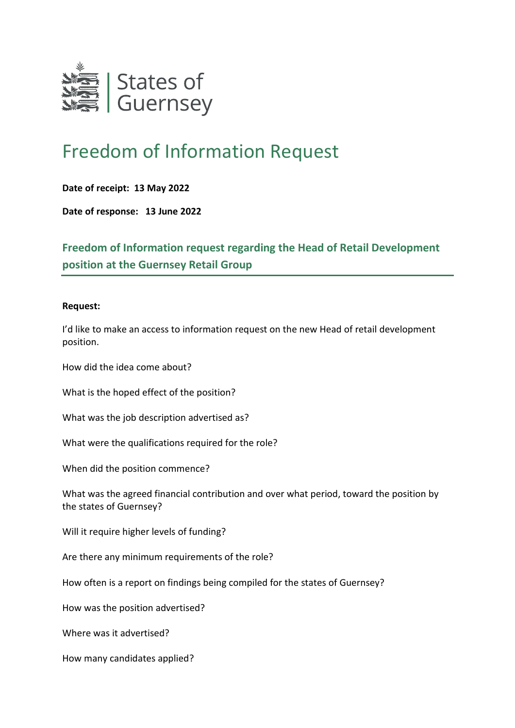

## Freedom of Information Request

## **Date of receipt: 13 May 2022**

**Date of response: 13 June 2022**

**Freedom of Information request regarding the Head of Retail Development position at the Guernsey Retail Group** 

## **Request:**

I'd like to make an access to information request on the new Head of retail development position.

How did the idea come about?

What is the hoped effect of the position?

What was the job description advertised as?

What were the qualifications required for the role?

When did the position commence?

What was the agreed financial contribution and over what period, toward the position by the states of Guernsey?

Will it require higher levels of funding?

Are there any minimum requirements of the role?

How often is a report on findings being compiled for the states of Guernsey?

How was the position advertised?

Where was it advertised?

How many candidates applied?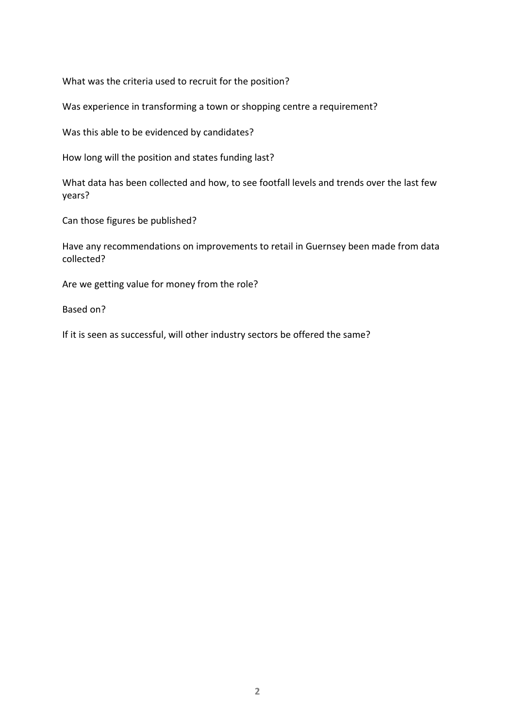What was the criteria used to recruit for the position?

Was experience in transforming a town or shopping centre a requirement?

Was this able to be evidenced by candidates?

How long will the position and states funding last?

What data has been collected and how, to see footfall levels and trends over the last few years?

Can those figures be published?

Have any recommendations on improvements to retail in Guernsey been made from data collected?

Are we getting value for money from the role?

Based on?

If it is seen as successful, will other industry sectors be offered the same?